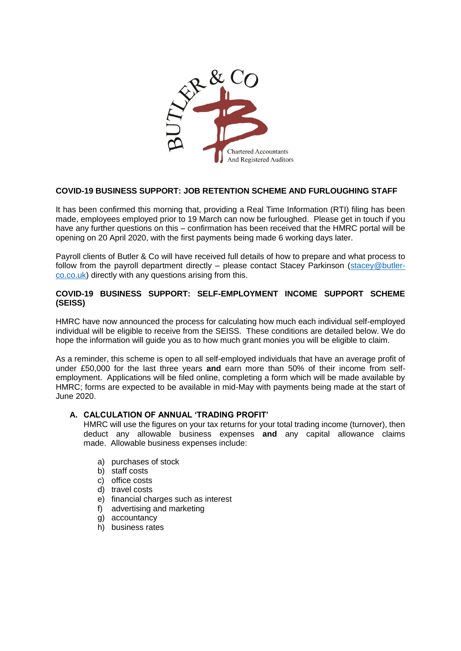

# **COVID-19 BUSINESS SUPPORT: JOB RETENTION SCHEME AND FURLOUGHING STAFF**

It has been confirmed this morning that, providing a Real Time Information (RTI) filing has been made, employees employed prior to 19 March can now be furloughed. Please get in touch if you have any further questions on this – confirmation has been received that the HMRC portal will be opening on 20 April 2020, with the first payments being made 6 working days later.

Payroll clients of Butler & Co will have received full details of how to prepare and what process to follow from the payroll department directly – please contact Stacey Parkinson [\(stacey@butler](mailto:stacey@butler-co.co.uk)[co.co.uk\)](mailto:stacey@butler-co.co.uk) directly with any questions arising from this.

# **COVID-19 BUSINESS SUPPORT: SELF-EMPLOYMENT INCOME SUPPORT SCHEME (SEISS)**

HMRC have now announced the process for calculating how much each individual self-employed individual will be eligible to receive from the SEISS. These conditions are detailed below. We do hope the information will guide you as to how much grant monies you will be eligible to claim.

As a reminder, this scheme is open to all self-employed individuals that have an average profit of under £50,000 for the last three years **and** earn more than 50% of their income from selfemployment. Applications will be filed online, completing a form which will be made available by HMRC; forms are expected to be available in mid-May with payments being made at the start of June 2020.

## **A. CALCULATION OF ANNUAL 'TRADING PROFIT'**

HMRC will use the figures on your tax returns for your total trading income (turnover), then deduct any allowable business expenses **and** any capital allowance claims made. Allowable business expenses include:

- a) purchases of stock
- b) staff costs
- c) office costs
- d) travel costs
- e) financial charges such as interest
- f) advertising and marketing
- g) accountancy
- h) business rates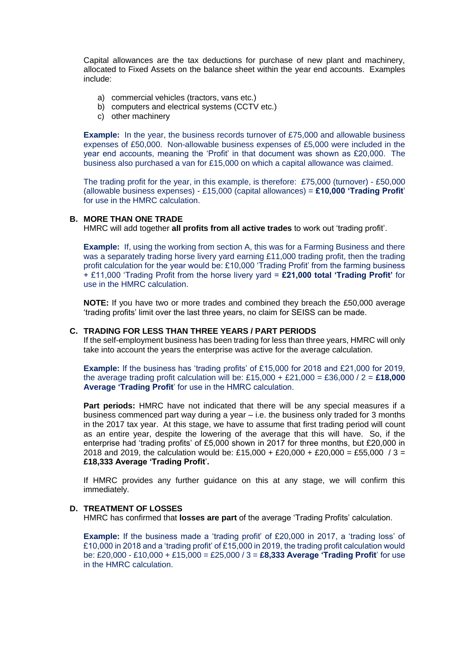Capital allowances are the tax deductions for purchase of new plant and machinery, allocated to Fixed Assets on the balance sheet within the year end accounts. Examples include:

- a) commercial vehicles (tractors, vans etc.)
- b) computers and electrical systems (CCTV etc.)
- c) other machinery

**Example:** In the year, the business records turnover of £75,000 and allowable business expenses of £50,000. Non-allowable business expenses of £5,000 were included in the year end accounts, meaning the 'Profit' in that document was shown as £20,000. The business also purchased a van for £15,000 on which a capital allowance was claimed.

The trading profit for the year, in this example, is therefore: £75,000 (turnover) - £50,000 (allowable business expenses) - £15,000 (capital allowances) = **£10,000 'Trading Profit**' for use in the HMRC calculation.

#### **B. MORE THAN ONE TRADE**

HMRC will add together **all profits from all active trades** to work out 'trading profit'.

**Example:** If, using the working from section A, this was for a Farming Business and there was a separately trading horse livery yard earning £11,000 trading profit, then the trading profit calculation for the year would be: £10,000 'Trading Profit' from the farming business + £11,000 'Trading Profit from the horse livery yard = **£21,000 total 'Trading Profit'** for use in the HMRC calculation.

**NOTE:** If you have two or more trades and combined they breach the £50,000 average 'trading profits' limit over the last three years, no claim for SEISS can be made.

## **C. TRADING FOR LESS THAN THREE YEARS / PART PERIODS**

If the self-employment business has been trading for less than three years, HMRC will only take into account the years the enterprise was active for the average calculation.

**Example:** If the business has 'trading profits' of £15,000 for 2018 and £21,000 for 2019, the average trading profit calculation will be: £15,000 + £21,000 = £36,000 / 2 = **£18,000 Average 'Trading Profit**' for use in the HMRC calculation.

**Part periods:** HMRC have not indicated that there will be any special measures if a business commenced part way during a year – i.e. the business only traded for 3 months in the 2017 tax year. At this stage, we have to assume that first trading period will count as an entire year, despite the lowering of the average that this will have. So, if the enterprise had 'trading profits' of £5,000 shown in 2017 for three months, but £20,000 in 2018 and 2019, the calculation would be: £15,000 + £20,000 + £20,000 = £55,000 / 3 = **£18,333 Average 'Trading Profit**'**.**

If HMRC provides any further guidance on this at any stage, we will confirm this immediately.

#### **D. TREATMENT OF LOSSES**

HMRC has confirmed that **losses are part** of the average 'Trading Profits' calculation.

**Example:** If the business made a 'trading profit' of £20,000 in 2017, a 'trading loss' of £10,000 in 2018 and a 'trading profit' of £15,000 in 2019, the trading profit calculation would be: £20,000 - £10,000 + £15,000 = £25,000 / 3 = **£8,333 Average 'Trading Profit**' for use in the HMRC calculation.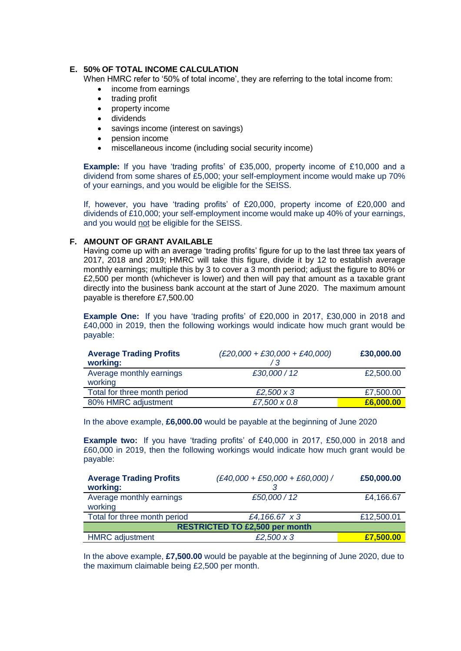## **E. 50% OF TOTAL INCOME CALCULATION**

When HMRC refer to '50% of total income', they are referring to the total income from:

- income from earnings
- trading profit
- property income
- dividends
- savings income (interest on savings)
- pension income
- miscellaneous income (including social security income)

**Example:** If you have 'trading profits' of £35,000, property income of £10,000 and a dividend from some shares of £5,000; your self-employment income would make up 70% of your earnings, and you would be eligible for the SEISS.

If, however, you have 'trading profits' of £20,000, property income of £20,000 and dividends of £10,000; your self-employment income would make up 40% of your earnings, and you would not be eligible for the SEISS.

#### **F. AMOUNT OF GRANT AVAILABLE**

Having come up with an average 'trading profits' figure for up to the last three tax years of 2017, 2018 and 2019; HMRC will take this figure, divide it by 12 to establish average monthly earnings; multiple this by 3 to cover a 3 month period; adjust the figure to 80% or £2,500 per month (whichever is lower) and then will pay that amount as a taxable grant directly into the business bank account at the start of June 2020. The maximum amount payable is therefore £7,500.00

**Example One:** If you have 'trading profits' of £20,000 in 2017, £30,000 in 2018 and £40,000 in 2019, then the following workings would indicate how much grant would be payable:

| <b>Average Trading Profits</b><br>working: | $(E20,000 + E30,000 + E40,000)$ | £30,000.00 |
|--------------------------------------------|---------------------------------|------------|
| Average monthly earnings<br>working        | £30,000 / 12                    | £2,500.00  |
| Total for three month period               | £2,500 $\times$ 3               | £7,500.00  |
| 80% HMRC adjustment                        | £7,500 x 0.8                    | £6,000.00  |

In the above example, **£6,000.00** would be payable at the beginning of June 2020

**Example two:** If you have 'trading profits' of £40,000 in 2017, £50,000 in 2018 and £60,000 in 2019, then the following workings would indicate how much grant would be payable:

| <b>Average Trading Profits</b><br>working: | $(E40,000 + E50,000 + E60,000)$ / | £50,000.00 |  |
|--------------------------------------------|-----------------------------------|------------|--|
| Average monthly earnings<br>working        | £50,000 / 12                      | £4,166.67  |  |
| Total for three month period               | £4,166.67 x 3                     | £12,500.01 |  |
| <b>RESTRICTED TO £2,500 per month</b>      |                                   |            |  |
| <b>HMRC</b> adjustment                     | £2,500 $\times$ 3                 | £7,500.00  |  |

In the above example, **£7,500.00** would be payable at the beginning of June 2020, due to the maximum claimable being £2,500 per month.